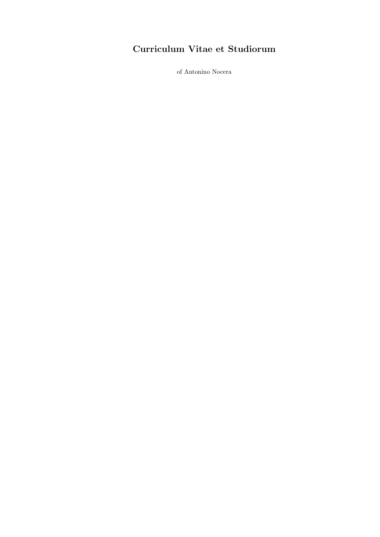# Curriculum Vitae et Studiorum

of Antonino Nocera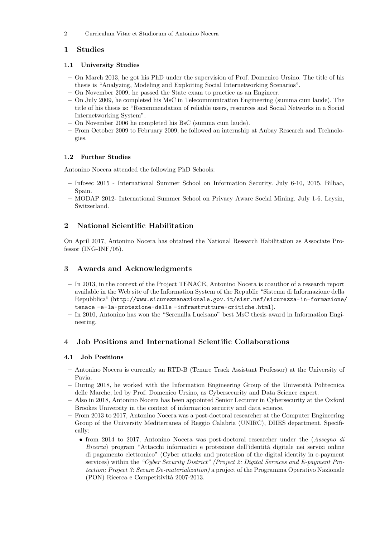2 Curriculum Vitae et Studiorum of Antonino Nocera

# 1 Studies

# 1.1 University Studies

- On March 2013, he got his PhD under the supervision of Prof. Domenico Ursino. The title of his thesis is "Analyzing, Modeling and Exploiting Social Internetworking Scenarios".
- On November 2009, he passed the State exam to practice as an Engineer.
- On July 2009, he completed his MsC in Telecommunication Engineering (summa cum laude). The title of his thesis is: "Recommendation of reliable users, resources and Social Networks in a Social Internetworking System".
- On November 2006 he completed his BsC (summa cum laude).
- From October 2009 to February 2009, he followed an internship at Aubay Research and Technologies.

# 1.2 Further Studies

Antonino Nocera attended the following PhD Schools:

- Infosec 2015 International Summer School on Information Security. July 6-10, 2015. Bilbao, Spain.
- MODAP 2012- International Summer School on Privacy Aware Social Mining. July 1-6. Leysin, Switzerland.

# 2 National Scientific Habilitation

On April 2017, Antonino Nocera has obtained the National Research Habilitation as Associate Professor (ING-INF/05).

# 3 Awards and Acknowledgments

- In 2013, in the context of the Project TENACE, Antonino Nocera is coauthor of a research report available in the Web site of the Information System of the Republic "Sistema di Informazione della Repubblica" (http://www.sicurezzanazionale.gov.it/sisr.nsf/sicurezza-in-formazione/ tenace -e-la-protezione-delle -infrastrutture-critiche.html).
- In 2010, Antonino has won the "Serenalla Lucisano" best MsC thesis award in Information Engineering.

# 4 Job Positions and International Scientific Collaborations

### 4.1 Job Positions

- Antonino Nocera is currently an RTD-B (Tenure Track Assistant Professor) at the University of Pavia.
- $-$  During 2018, he worked with the Information Engineering Group of the Università Politecnica delle Marche, led by Prof. Domenico Ursino, as Cybersecurity and Data Science expert.
- Also in 2018, Antonino Nocera has been appointed Senior Lecturer in Cybersecurity at the Oxford Brookes University in the context of information security and data science.
- From 2013 to 2017, Antonino Nocera was a post-doctoral researcher at the Computer Engineering Group of the University Mediterranea of Reggio Calabria (UNIRC), DIIES department. Specifically:
	- *•* from 2014 to 2017, Antonino Nocera was post-doctoral researcher under the (*Assegno di Ricerca*) program "Attacchi informatici e protezione dell'identità digitale nei servizi online di pagamento elettronico" (Cyber attacks and protection of the digital identity in e-payment services) within the *"Cyber Security District" (Project 2: Digital Services and E-payment Protection; Project 3: Secure De-materialization)* a project of the Programma Operativo Nazionale (PON) Ricerca e Competitivit`a 2007-2013.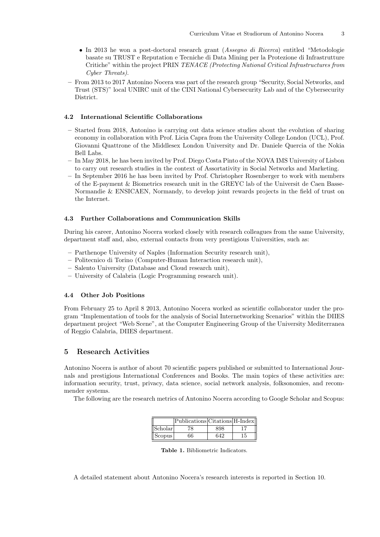- *•* In 2013 he won a post-doctoral research grant (*Assegno di Ricerca*) entitled "Metodologie basate su TRUST e Reputation e Tecniche di Data Mining per la Protezione di Infrastrutture Critiche" within the project PRIN *TENACE (Protecting National Critical Infrastructures from Cyber Threats)*.
- From 2013 to 2017 Antonino Nocera was part of the research group "Security, Social Networks, and Trust (STS)" local UNIRC unit of the CINI National Cybersecurity Lab and of the Cybersecurity District.

### 4.2 International Scientific Collaborations

- Started from 2018, Antonino is carrying out data science studies about the evolution of sharing economy in collaboration with Prof. Licia Capra from the University College London (UCL), Prof. Giovanni Quattrone of the Middlesex London University and Dr. Daniele Quercia of the Nokia Bell Labs.
- In May 2018, he has been invited by Prof. Diego Costa Pinto of the NOVA IMS University of Lisbon to carry out research studies in the context of Assortativity in Social Networks and Marketing.
- In September 2016 he has been invited by Prof. Christopher Rosenberger to work with members of the E-payment & Biometrics research unit in the GREYC lab of the Universit de Caen Basse-Normandie & ENSICAEN, Normandy, to develop joint rewards projects in the field of trust on the Internet.

#### 4.3 Further Collaborations and Communication Skills

During his career, Antonino Nocera worked closely with research colleagues from the same University, department staff and, also, external contacts from very prestigious Universities, such as:

- Parthenope University of Naples (Information Security research unit),
- Politecnico di Torino (Computer-Human Interaction research unit),
- Salento University (Database and Cloud research unit),
- University of Calabria (Logic Programming research unit).

### 4.4 Other Job Positions

From February 25 to April 8 2013, Antonino Nocera worked as scientific collaborator under the program "Implementation of tools for the analysis of Social Internetworking Scenarios" within the DIIES department project "Web Scene", at the Computer Engineering Group of the University Mediterranea of Reggio Calabria, DIIES department.

### 5 Research Activities

Antonino Nocera is author of about 70 scientific papers published or submitted to International Journals and prestigious International Conferences and Books. The main topics of these activities are: information security, trust, privacy, data science, social network analysis, folksonomies, and recommender systems.

The following are the research metrics of Antonino Nocera according to Google Scholar and Scopus:

|         | Publications Citations H-Index |     |    |
|---------|--------------------------------|-----|----|
| Scholar |                                | 898 |    |
| Scopus  | 66                             | 642 | 15 |

Table 1. Bibliometric Indicators.

A detailed statement about Antonino Nocera's research interests is reported in Section 10.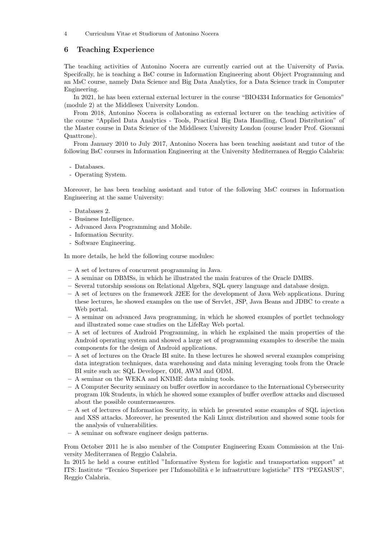4 Curriculum Vitae et Studiorum of Antonino Nocera

# 6 Teaching Experience

The teaching activities of Antonino Nocera are currently carried out at the University of Pavia. Specifcally, he is teaching a BsC course in Information Engineering about Object Programming and an MsC course, namely Data Science and Big Data Analytics, for a Data Science track in Computer Engineering.

In 2021, he has been external external lecturer in the course "BIO4334 Informatics for Genomics" (module 2) at the Middlesex University London.

From 2018, Antonino Nocera is collaborating as external lecturer on the teaching activities of the course "Applied Data Analytics - Tools, Practical Big Data Handling, Cloud Distribution" of the Master course in Data Science of the Middlesex University London (course leader Prof. Giovanni Quattrone).

From January 2010 to July 2017, Antonino Nocera has been teaching assistant and tutor of the following BsC courses in Information Engineering at the University Mediterranea of Reggio Calabria:

- Databases.
- Operating System.

Moreover, he has been teaching assistant and tutor of the following MsC courses in Information Engineering at the same University:

- Databases 2.
- Business Intelligence.
- Advanced Java Programming and Mobile.
- Information Security.
- Software Engineering.

In more details, he held the following course modules:

- A set of lectures of concurrent programming in Java.
- A seminar on DBMSs, in which he illustrated the main features of the Oracle DMBS.
- Several tutorship sessions on Relational Algebra, SQL query language and database design.
- A set of lectures on the framework J2EE for the development of Java Web applications. During these lectures, he showed examples on the use of Servlet, JSP, Java Beans and JDBC to create a Web portal.
- A seminar on advanced Java programming, in which he showed examples of portlet technology and illustrated some case studies on the LifeRay Web portal.
- $A$  set of lectures of Android Programming, in which he explained the main properties of the Android operating system and showed a large set of programming examples to describe the main components for the design of Android applications.
- A set of lectures on the Oracle BI suite. In these lectures he showed several examples comprising data integration techniques, data warehousing and data mining leveraging tools from the Oracle BI suite such as: SQL Developer, ODI, AWM and ODM.
- A seminar on the WEKA and KNIME data mining tools.
- $A$  Computer Security seminary on buffer overflow in accordance to the International Cybersecurity program 10k Students, in which he showed some examples of buffer overflow attacks and discussed about the possible countermeasures.
- A set of lectures of Information Security, in which he presented some examples of SQL injection and XSS attacks. Moreover, he presented the Kali Linux distribution and showed some tools for the analysis of vulnerabilities.
- A seminar on software engineer design patterns.

From October 2011 he is also member of the Computer Engineering Exam Commission at the University Mediterranea of Reggio Calabria.

In 2015 he held a course entitled "Informative System for logistic and transportation support" at ITS: Institute "Tecnico Superiore per l'Infomobilit`a e le infrastrutture logistiche" ITS "PEGASUS", Reggio Calabria.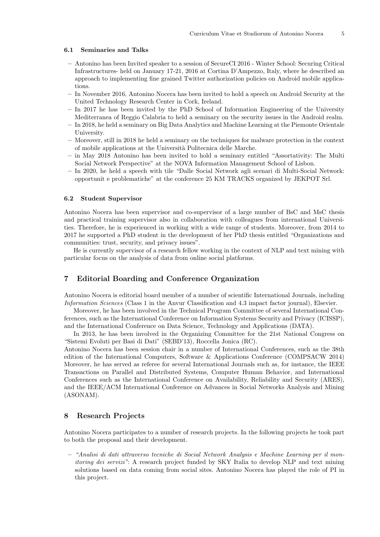#### 6.1 Seminaries and Talks

- Antonino has been Invited speaker to a session of SecureCI 2016 Winter School: Securing Critical Infrastructures- held on January 17-21, 2016 at Cortina D'Ampezzo, Italy, where he described an approach to implementing fine grained Twitter authorization policies on Android mobile applications.
- In November 2016, Antonino Nocera has been invited to hold a speech on Android Security at the United Technology Research Center in Cork, Ireland.
- In 2017 he has been invited by the PhD School of Information Engineering of the University Mediterranea of Reggio Calabria to held a seminary on the security issues in the Android realm.
- In 2018, he held a seminary on Big Data Analytics and Machine Learning at the Piemonte Orientale University.
- Moreover, still in 2018 he held a seminary on the techniques for malware protection in the context of mobile applications at the Universit`a Politecnica delle Marche.
- in May 2018 Antonino has been invited to hold a seminary entitled "Assortativity: The Multi Social Network Perspective" at the NOVA Information Management School of Lisbon.
- In 2020, he held a speech with tile "Dalle Social Network agli scenari di Multi-Social Network: opportunit e problematiche" at the conference 25 KM TRACKS organized by JEKPOT Srl.

#### 6.2 Student Supervisor

Antonino Nocera has been supervisor and co-supervisor of a large number of BsC and MsC thesis and practical training supervisor also in collaboration with colleagues from international Universities. Therefore, he is experienced in working with a wide range of students. Moreover, from 2014 to 2017 he supported a PhD student in the development of her PhD thesis entitled "Organizations and communities: trust, security, and privacy issues".

He is currently supervisor of a research fellow working in the context of NLP and text mining with particular focus on the analysis of data from online social platforms.

# 7 Editorial Boarding and Conference Organization

Antonino Nocera is editorial board member of a number of scientific International Journals, including *Information Sciences* (Class 1 in the Anvur Classification and 4.3 impact factor journal), Elsevier.

Moreover, he has been involved in the Technical Program Committee of several International Conferences, such as the International Conference on Information Systems Security and Privacy (ICISSP), and the International Conference on Data Science, Technology and Applications (DATA).

In 2013, he has been involved in the Organizing Committee for the 21st National Congress on "Sistemi Evoluti per Basi di Dati" (SEBD'13), Roccella Jonica (RC).

Antonino Nocera has been session chair in a number of International Conferences, such as the 38th edition of the International Computers, Software & Applications Conference (COMPSACW 2014) Moreover, he has served as referee for several International Journals such as, for instance, the IEEE Transactions on Parallel and Distributed Systems, Computer Human Behavior, and International Conferences such as the International Conference on Availability, Reliability and Security (ARES), and the IEEE/ACM International Conference on Advances in Social Networks Analysis and Mining (ASONAM).

### 8 Research Projects

Antonino Nocera participates to a number of research projects. In the following projects he took part to both the proposal and their development.

– *"Analisi di dati attraverso tecniche di Social Network Analysis e Machine Learning per il monitoring dei servizi*": A research project funded by SKY Italia to develop NLP and text mining solutions based on data coming from social sites. Antonino Nocera has played the role of PI in this project.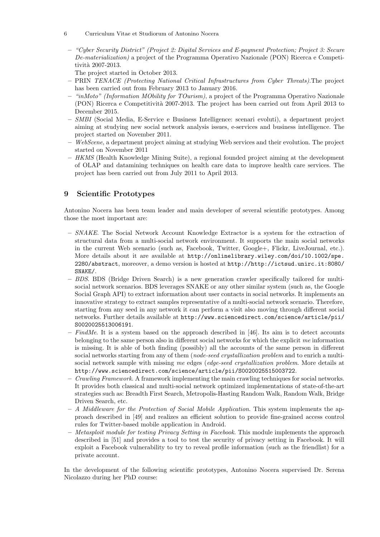- 6 Curriculum Vitae et Studiorum of Antonino Nocera
- *"Cyber Security District" (Project 2: Digital Services and E-payment Protection; Project 3: Secure De-materialization)* a project of the Programma Operativo Nazionale (PON) Ricerca e Competitività 2007-2013.
	- The project started in October 2013.
- PRIN *TENACE (Protecting National Critical Infrastructures from Cyber Threats)*.The project has been carried out from February 2013 to January 2016.
- *"inMoto" (Information MObility for TOurism)*, a project of the Programma Operativo Nazionale (PON) Ricerca e Competitivit`a 2007-2013. The project has been carried out from April 2013 to December 2015.
- *SMBI* (Social Media, E-Service e Business Intelligence: scenari evoluti), a department project aiming at studying new social network analysis issues, e-services and business intelligence. The project started on November 2011.
- *WebScene*, a department project aiming at studying Web services and their evolution. The project started on November 2011
- *HKMS* (Health Knowledge Mining Suite), a regional founded project aiming at the development of OLAP and datamining techniques on health care data to improve health care services. The project has been carried out from July 2011 to April 2013.

# 9 Scientific Prototypes

Antonino Nocera has been team leader and main developer of several scientific prototypes. Among those the most important are:

- *SNAKE*. The Social Network Account Knowledge Extractor is a system for the extraction of structural data from a multi-social network environment. It supports the main social networks in the current Web scenario (such as, Facebook, Twitter, Google+, Flickr, LiveJournal, etc.). More details about it are available at http://onlinelibrary.wiley.com/doi/10.1002/spe. 2280/abstract, moreover, a demo version is hosted at http://http://ictsud.unirc.it:8080/ SNAKE/.
- *BDS*. BDS (Bridge Driven Search) is a new generation crawler specifically tailored for multisocial network scenarios. BDS leverages SNAKE or any other similar system (such as, the Google Social Graph API) to extract information about user contacts in social networks. It implements an innovative strategy to extract samples representative of a multi-social network scenario. Therefore, starting from any seed in any network it can perform a visit also moving through different social networks. Further details available at http://www.sciencedirect.com/science/article/pii/ S0020025513006191.
- *FindMe*. It is a system based on the approach described in [46]. Its aim is to detect accounts belonging to the same person also in different social networks for which the explicit *me* information is missing. It is able of both finding (possibly) all the accounts of the same person in different social networks starting from any of them (*node-seed crystallization problem* and to enrich a multisocial network sample with missing *me* edges (*edge-seed crystallization problem*. More details at http://www.sciencedirect.com/science/article/pii/S0020025515003722.
- *Crawling Framework*. A framework implementing the main crawling techniques for social networks. It provides both classical and multi-social network optimized implementations of state-of-the-art strategies such as: Breadth First Search, Metropolis-Hasting Random Walk, Random Walk, Bridge Driven Search, etc.
- *A Middleware for the Protection of Social Mobile Application*. This system implements the approach described in [49] and realizes an efficient solution to provide fine-grained access control rules for Twitter-based mobile application in Android.
- *Metasploit module for testing Privacy Setting in Facebook*. This module implements the approach described in [51] and provides a tool to test the security of privacy setting in Facebook. It will exploit a Facebook vulnerability to try to reveal profile information (such as the friendlist) for a private account.

In the development of the following scientific prototypes, Antonino Nocera supervised Dr. Serena Nicolazzo during her PhD course: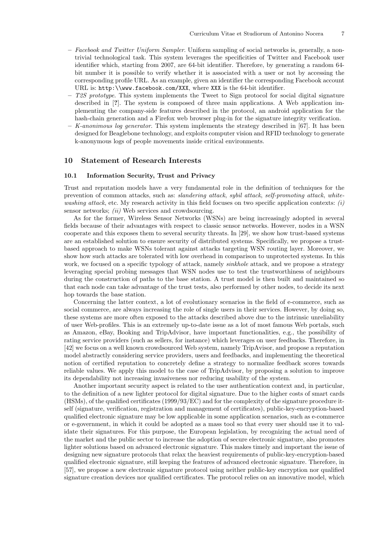- *Facebook and Twitter Uniform Sampler*. Uniform sampling of social networks is, generally, a nontrivial technological task. This system leverages the specificities of Twitter and Facebook user identifier which, starting from 2007, are 64-bit identifier. Therefore, by generating a random 64 bit number it is possible to verify whether it is associated with a user or not by accessing the corresponding profile URL. As an example, given an identifier the corresponding Facebook account URL is: http:\\www.facebook.com/XXX, where XXX is the 64-bit identifier.
- *T2S prototype*. This system implements the Tweet to Sign protocol for social digital signature described in [?]. The system is composed of three main applications. A Web application implementing the company-side features described in the protocol, an android application for the hash-chain generation and a Firefox web browser plug-in for the signature integrity verification.
- *K-anonimous log generator*. This system implements the strategy described in [67]. It has been designed for Beaglebone technology, and exploits computer vision and RFID technology to generate k-anonymous logs of people movements inside critical environments.

### 10 Statement of Research Interests

#### 10.1 Information Security, Trust and Privacy

Trust and reputation models have a very fundamental role in the definition of techniques for the prevention of common attacks, such as: *slandering attack*, *sybil attack*, *self-promoting attack*, *whitewashing attack*, etc. My research activity in this field focuses on two specific application contexts: *(i)* sensor networks; *(ii)* Web services and crowdsourcing.

As for the former, Wireless Sensor Networks (WSNs) are being increasingly adopted in several fields because of their advantages with respect to classic sensor networks. However, nodes in a WSN cooperate and this exposes them to several security threats. In [29], we show how trust-based systems are an established solution to ensure security of distributed systems. Specifically, we propose a trustbased approach to make WSNs tolerant against attacks targeting WSN routing layer. Moreover, we show how such attacks are tolerated with low overhead in comparison to unprotected systems. In this work, we focused on a specific typology of attack, namely *sinkhole* attack, and we propose a strategy leveraging special probing messages that WSN nodes use to test the trustworthiness of neighbours during the construction of paths to the base station. A trust model is then built and maintained so that each node can take advantage of the trust tests, also performed by other nodes, to decide its next hop towards the base station.

Concerning the latter context, a lot of evolutionary scenarios in the field of e-commerce, such as social commerce, are always increasing the role of single users in their services. However, by doing so, these systems are more often exposed to the attacks described above due to the intrinsic unreliability of user Web-profiles. This is an extremely up-to-date issue as a lot of most famous Web portals, such as Amazon, eBay, Booking and TripAdvisor, have important functionalities, e.g., the possibility of rating service providers (such as sellers, for instance) which leverages on user feedbacks. Therefore, in [42] we focus on a well known crowdsourced Web system, namely TripAvisor, and propose a reputation model abstractly considering service providers, users and feedbacks, and implementing the theoretical notion of certified reputation to concretely define a strategy to normalize feedback scores towards reliable values. We apply this model to the case of TripAdvisor, by proposing a solution to improve its dependability not increasing invasiveness nor reducing usability of the system.

Another important security aspect is related to the user authentication context and, in particular, to the definition of a new lighter protocol for digital signature. Due to the higher costs of smart cards (HSMs), of the qualified certificates (1999/93/EC) and for the complexity of the signature procedure itself (signature, verification, registration and management of certificates), public-key-encryption-based qualified electronic signature may be low applicable in some application scenarios, such as e-commerce or e-government, in which it could be adopted as a mass tool so that every user should use it to validate their signatures. For this purpose, the European legislation, by recognizing the actual need of the market and the public sector to increase the adoption of secure electronic signature, also promotes lighter solutions based on advanced electronic signature. This makes timely and important the issue of designing new signature protocols that relax the heaviest requirements of public-key-encryption-based qualified electronic signature, still keeping the features of advanced electronic signature. Therefore, in [57], we propose a new electronic signature protocol using neither public-key encryption nor qualified signature creation devices nor qualified certificates. The protocol relies on an innovative model, which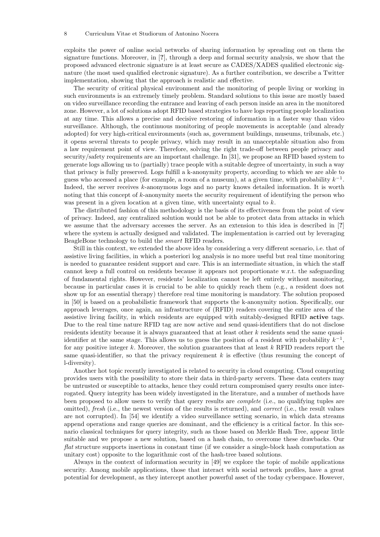exploits the power of online social networks of sharing information by spreading out on them the signature functions. Moreover, in [?], through a deep and formal security analysis, we show that the proposed advanced electronic signature is at least secure as CADES/XADES qualified electronic signature (the most used qualified electronic signature). As a further contribution, we describe a Twitter implementation, showing that the approach is realistic and effective.

The security of critical physical environment and the monitoring of people living or working in such environments is an extremely timely problem. Standard solutions to this issue are mostly based on video surveillance recording the entrance and leaving of each person inside an area in the monitored zone. However, a lot of solutions adopt RFID based strategies to have logs reporting people localization at any time. This allows a precise and decisive restoring of information in a faster way than video surveillance. Although, the continuous monitoring of people movements is acceptable (and already adopted) for very high-critical environments (such as, government buildings, museums, tribunals, etc.) it opens several threats to people privacy, which may result in an unacceptable situation also from a law requirement point of view. Therefore, solving the right trade-off between people privacy and security/safety requirements are an important challenge. In [31], we propose an RFID based system to generate logs allowing us to (partially) trace people with a suitable degree of uncertainty, in such a way that privacy is fully preserved. Logs fulfill a k-anonymity property, according to which we are able to guess who accessed a place (for example, a room of a museum), at a given time, with probability  $k^{-1}$ . Indeed, the server receives *k*-anonymous logs and no party knows detailed information. It is worth noting that this concept of *k*-anonymity meets the security requirement of identifying the person who was present in a given location at a given time, with uncertainty equal to *k*.

The distributed fashion of this methodology is the basis of its effectiveness from the point of view of privacy. Indeed, any centralized solution would not be able to protect data from attacks in which we assume that the adversary accesses the server. As an extension to this idea is described in [?] where the system is actually designed and validated. The implementation is carried out by leveraging BeagleBone technology to build the *smart* RFID readers.

Still in this context, we extended the above idea by considering a very different scenario, i.e. that of assistive living facilities, in which a posteriori log analysis is no more useful but real time monitoring is needed to guarantee resident support and care. This is an intermediate situation, in which the staff cannot keep a full control on residents because it appears not proportionate w.r.t. the safeguarding of fundamental rights. However, residents' localization cannot be left entirely without monitoring, because in particular cases it is crucial to be able to quickly reach them (e.g., a resident does not show up for an essential therapy) therefore real time monitoring is mandatory. The solution proposed in [50] is based on a probabilistic framework that supports the k-anonymity notion. Specifically, our approach leverages, once again, an infrastructure of (RFID) readers covering the entire area of the assistive living facility, in which residents are equipped with suitably-designed RFID active tags. Due to the real time nature RFID tag are now active and send quasi-identifiers that do not disclose residents identity because it is always guaranteed that at least other *k* residents send the same quasiidentifier at the same stage. This allows us to guess the position of a resident with probability  $k^{-1}$ . for any positive integer *k*. Moreover, the solution guarantees that at least *k* RFID readers report the same quasi-identifier, so that the privacy requirement  $k$  is effective (thus resuming the concept of l-diversity).

Another hot topic recently investigated is related to security in cloud computing. Cloud computing provides users with the possibility to store their data in third-party servers. These data centers may be untrusted or susceptible to attacks, hence they could return compromised query results once interrogated. Query integrity has been widely investigated in the literature, and a number of methods have been proposed to allow users to verify that query results are *complete* (i.e., no qualifying tuples are omitted), *fresh* (i.e., the newest version of the results is returned), and *correct* (i.e., the result values are not corrupted). In [54] we identify a video surveillance setting scenario, in which data streams append operations and range queries are dominant, and the efficiency is a critical factor. In this scenario classical techniques for query integrity, such as those based on Merkle Hash Tree, appear little suitable and we propose a new solution, based on a hash chain, to overcome these drawbacks. Our *flat* structure supports insertions in constant time (if we consider a single-block hash computation as unitary cost) opposite to the logarithmic cost of the hash-tree based solutions.

Always in the context of information security in [49] we explore the topic of mobile applications security. Among mobile applications, those that interact with social network profiles, have a great potential for development, as they intercept another powerful asset of the today cyberspace. However,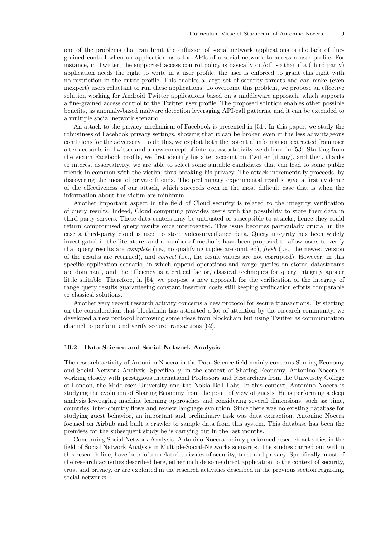one of the problems that can limit the diffusion of social network applications is the lack of finegrained control when an application uses the APIs of a social network to access a user profile. For instance, in Twitter, the supported access control policy is basically on/off, so that if a (third party) application needs the right to write in a user profile, the user is enforced to grant this right with no restriction in the entire profile. This enables a large set of security threats and can make (even inexpert) users reluctant to run these applications. To overcome this problem, we propose an effective solution working for Android Twitter applications based on a middleware approach, which supports a fine-grained access control to the Twitter user profile. The proposed solution enables other possible benefits, as anomaly-based malware detection leveraging API-call patterns, and it can be extended to a multiple social network scenario.

An attack to the privacy mechanism of Facebook is presented in [51]. In this paper, we study the robustness of Facebook privacy settings, showing that it can be broken even in the less advantageous conditions for the adversary. To do this, we exploit both the potential information extracted from user alter accounts in Twitter and a new concept of interest assortativity we defined in [53]. Starting from the victim Facebook profile, we first identify his alter account on Twitter (if any), and then, thanks to interest assortativity, we are able to select some suitable candidates that can lead to some public friends in common with the victim, thus breaking his privacy. The attack incrementally proceeds, by discovering the most of private friends. The preliminary experimental results, give a first evidence of the effectiveness of our attack, which succeeds even in the most difficult case that is when the information about the victim are minimum.

Another important aspect in the field of Cloud security is related to the integrity verification of query results. Indeed, Cloud computing provides users with the possibility to store their data in third-party servers. These data centers may be untrusted or susceptible to attacks, hence they could return compromised query results once interrogated. This issue becomes particularly crucial in the case a third-party cloud is used to store videosurveillance data. Query integrity has been widely investigated in the literature, and a number of methods have been proposed to allow users to verify that query results are *complete* (i.e., no qualifying tuples are omitted), *fresh* (i.e., the newest version of the results are returned), and *correct* (i.e., the result values are not corrupted). However, in this specific application scenario, in which append operations and range queries on stored datastreams are dominant, and the efficiency is a critical factor, classical techniques for query integrity appear little suitable. Therefore, in [54] we propose a new approach for the verification of the integrity of range query results guaranteeing constant insertion costs still keeping verification efforts comparable to classical solutions.

Another very recent research activity concerns a new protocol for secure transactions. By starting on the consideration that blockchain has attracted a lot of attention by the research community, we developed a new protocol borrowing some ideas from blockchain but using Twitter as communication channel to perform and verify secure transactions [62].

### 10.2 Data Science and Social Network Analysis

The research activity of Antonino Nocera in the Data Science field mainly concerns Sharing Economy and Social Network Analysis. Specifically, in the context of Sharing Economy, Antonino Nocera is working closely with prestigious international Professors and Researchers from the University College of London, the Middlesex University and the Nokia Bell Labs. In this context, Antonino Nocera is studying the evolution of Sharing Economy from the point of view of guests. He is performing a deep analysis leveraging machine learning approaches and considering several dimensions, such as: time, countries, inter-country flows and review language evolution. Since there was no existing database for studying guest behavior, an important and preliminary task was data extraction. Antonino Nocera focused on Airbnb and built a crawler to sample data from this system. This database has been the premises for the subsequent study he is carrying out in the last months.

Concerning Social Network Analysis, Antonino Nocera mainly performed research activities in the field of Social Network Analysis in Multiple-Social-Networks scenarios. The studies carried out within this research line, have been often related to issues of security, trust and privacy. Specifically, most of the research activities described here, either include some direct application to the context of security, trust and privacy, or are exploited in the research activities described in the previous section regarding social networks.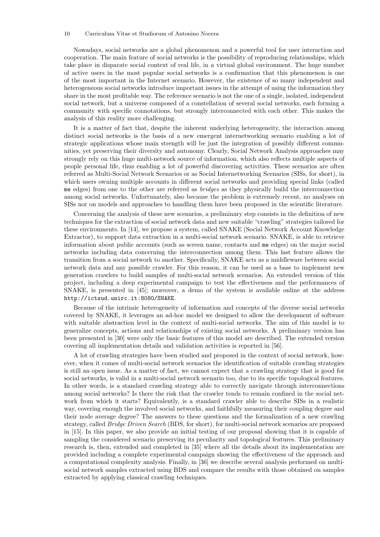#### 10 Curriculum Vitae et Studiorum of Antonino Nocera

Nowadays, social networks are a global phenomenon and a powerful tool for user interaction and cooperation. The main feature of social networks is the possibility of reproducing relationships, which take place in disparate social context of real life, in a virtual global environment. The huge number of active users in the most popular social networks is a confirmation that this phenomenon is one of the most important in the Internet scenario. However, the existence of so many independent and heterogeneous social networks introduce important issues in the attempt of using the information they share in the most profitable way. The reference scenario is not the one of a single, isolated, independent social network, but a universe composed of a constellation of several social networks, each forming a community with specific connotations, but strongly interconnected with each other. This makes the analysis of this reality more challenging.

It is a matter of fact that, despite the inherent underlying heterogeneity, the interaction among distinct social networks is the basis of a new emergent internetworking scenario enabling a lot of strategic applications whose main strength will be just the integration of possibly different communities, yet preserving their diversity and autonomy. Clearly, Social Network Analysis approaches may strongly rely on this huge multi-network source of information, which also reflects multiple aspects of people personal life, thus enabling a lot of powerful discovering activities. These scenarios are often referred as Multi-Social Network Scenarios or as Social Internetworking Scenarios (SISs, for short), in which users owning multiple accounts in different social networks and providing special links (called me edges) from one to the other are referred as *bridges* as they physically build the interconnection among social networks. Unfortunately, also because the problem is extremely recent, no analyses on SISs nor on models and approaches to handling them have been proposed in the scientific literature.

Concerning the analysis of these new scenarios, a preliminary step consists in the definition of new techniques for the extraction of social network data and new suitable "crawling" strategies tailored for these environments. In [14], we propose a system, called SNAKE (Social Network Account Knowledge Extractor), to support data extraction in a multi-social network scenario. SNAKE, is able to retrieve information about public accounts (such as screen name, contacts and me edges) on the major social networks including data concerning the interconnection among them. This last feature allows the transition from a social network to another. Specifically, SNAKE acts as a middleware between social network data and any possible crawler. For this reason, it can be used as a base to implement new generation crawlers to build samples of multi-social network scenarios. An extended version of this project, including a deep experimental campaign to test the effectiveness and the performances of SNAKE, is presented in [45]; moreover, a demo of the system is available online at the address http://ictsud.unirc.it:8080/SNAKE.

Because of the intrinsic heterogeneity of information and concepts of the diverse social networks covered by SNAKE, it leverages an ad-hoc model we designed to allow the development of software with suitable abstraction level in the context of multi-social networks. The aim of this model is to generalize concepts, actions and relationships of existing social networks. A preliminary version has been presented in [30] were only the basic features of this model are described. The extended version covering all implementation details and validation activities is reported in [56].

A lot of crawling strategies have been studied and proposed in the context of social network, however, when it comes of multi-social network scenarios the identification of suitable crawling strategies is still an open issue. As a matter of fact, we cannot expect that a crawling strategy that is good for social networks, is valid in a multi-social network scenario too, due to its specific topological features. In other words, is a standard crawling strategy able to correctly navigate through interconnections among social networks? Is there the risk that the crawler tends to remain confined in the social network from which it starts? Equivalently, is a standard crawler able to describe SISs in a realistic way, covering enough the involved social networks, and faithfully measuring their coupling degree and their node average degree? The answers to these questions and the formalization of a new crawling strategy, called *Bridge Driven Search* (BDS, for short), for multi-social network scenarios are proposed in [15]. In this paper, we also provide an initial testing of our proposal showing that it is capable of sampling the considered scenario preserving its peculiarity and topological features. This preliminary research is, then, extended and completed in [35] where all the details about its implementation are provided including a complete experimental campaign showing the effectiveness of the approach and a computational complexity analysis. Finally, in [36] we describe several analysis performed on multisocial network samples extracted using BDS and compare the results with those obtained on samples extracted by applying classical crawling techniques.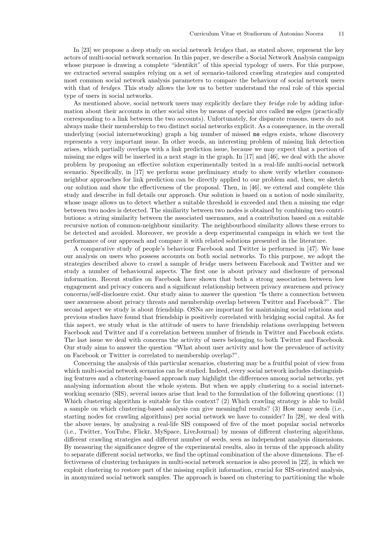In [23] we propose a deep study on social network *bridges* that, as stated above, represent the key actors of multi-social network scenarios. In this paper, we describe a Social Network Analysis campaign whose purpose is drawing a complete "identikit" of this special typology of users. For this purpose, we extracted several samples relying on a set of scenario-tailored crawling strategies and computed most common social network analysis parameters to compare the behaviour of social network users with that of *bridges*. This study allows the low us to better understand the real role of this special type of users in social networks.

As mentioned above, social network users may explicitly declare they *bridge* role by adding information about their accounts in other social sites by means of special arcs called me edges (practically corresponding to a link between the two accounts). Unfortunately, for disparate reasons, users do not always make their membership to two distinct social networks explicit. As a consequence, in the overall underlying (social internetworking) graph a big number of missed me edges exists, whose discovery represents a very important issue. In other words, an interesting problem of missing link detection arises, which partially overlaps with a link prediction issue, because we may expect that a portion of missing me edges will be inserted in a next stage in the graph. In [17] and [46], we deal with the above problem by proposing an effective solution experimentally tested in a real-life multi-social network scenario. Specifically, in [17] we perform some preliminary study to show verify whether commonneighbor approaches for link prediction can be directly applied to our problem and, then, we sketch our solution and show the effectiveness of the proposal. Then, in  $[46]$ , we extend and complete this study and describe in full details our approach. Our solution is based on a notion of node similarity, whose usage allows us to detect whether a suitable threshold is exceeded and then a missing me edge between two nodes is detected. The similarity between two nodes is obtained by combining two contributions: a string similarity between the associated usernames, and a contribution based on a suitable recursive notion of common-neighbour similarity. The neighbourhood similarity allows these errors to be detected and avoided. Moreover, we provide a deep experimental campaign in which we test the performance of our approach and compare it with related solutions presented in the literature.

A comparative study of people's behaviour Facebook and Twitter is performed in [47]. We base our analysis on users who possess accounts on both social networks. To this purpose, we adopt the strategies described above to crawl a sample of *bridge* users between Facebook and Twitter and we study a number of behavioural aspects. The first one is about privacy and disclosure of personal information. Recent studies on Facebook have shown that both a strong association between low engagement and privacy concern and a significant relationship between privacy awareness and privacy concerns/self-disclosure exist. Our study aims to answer the question "Is there a connection between user awareness about privacy threats and membership overlap between Twitter and Facebook?". The second aspect we study is about friendship. OSNs are important for maintaining social relations and previous studies have found that friendship is positively correlated with bridging social capital. As for this aspect, we study what is the attitude of users to have friendship relations overlapping between Facebook and Twitter and if a correlation between number of friends in Twitter and Facebook exists. The last issue we deal with concerns the activity of users belonging to both Twitter and Facebook. Our study aims to answer the question "What about user activity and how the prevalence of activity on Facebook or Twitter is correlated to membership overlap?".

Concerning the analysis of this particular scenarios, clustering may be a fruitful point of view from which multi-social network scenarios can be studied. Indeed, every social network includes distinguishing features and a clustering-based approach may highlight the differences among social networks, yet analysing information about the whole system. But when we apply clustering to a social internetworking scenario (SIS), several issues arise that lead to the formulation of the following questions: (1) Which clustering algorithm is suitable for this context? (2) Which crawling strategy is able to build a sample on which clustering-based analysis can give meaningful results? (3) How many seeds (i.e., starting nodes for crawling algorithms) per social network we have to consider? In [28], we deal with the above issues, by analysing a real-life SIS composed of five of the most popular social networks (i.e., Twitter, YouTube, Flickr, MySpace, LiveJournal) by means of different clustering algorithms, different crawling strategies and different number of seeds, seen as independent analysis dimensions. By measuring the significance degree of the experimental results, also in terms of the approach ability to separate different social networks, we find the optimal combination of the above dimensions. The effectiveness of clustering techniques in multi-social network scenarios is also proved in [22], in which we exploit clustering to restore part of the missing explicit information, crucial for SIS-oriented analysis, in anonymized social network samples. The approach is based on clustering to partitioning the whole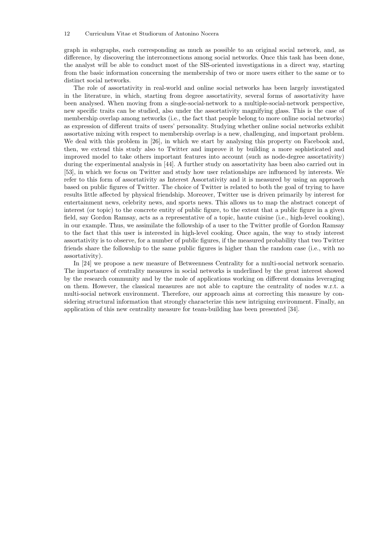graph in subgraphs, each corresponding as much as possible to an original social network, and, as difference, by discovering the interconnections among social networks. Once this task has been done, the analyst will be able to conduct most of the SIS-oriented investigations in a direct way, starting from the basic information concerning the membership of two or more users either to the same or to distinct social networks.

The role of assortativity in real-world and online social networks has been largely investigated in the literature, in which, starting from degree assortativity, several forms of assortativity have been analysed. When moving from a single-social-network to a multiple-social-network perspective, new specific traits can be studied, also under the assortativity magnifying glass. This is the case of membership overlap among networks (i.e., the fact that people belong to more online social networks) as expression of different traits of users' personality. Studying whether online social networks exhibit assortative mixing with respect to membership overlap is a new, challenging, and important problem. We deal with this problem in [26], in which we start by analysing this property on Facebook and, then, we extend this study also to Twitter and improve it by building a more sophisticated and improved model to take others important features into account (such as node-degree assortativity) during the experimental analysis in [44]. A further study on assortativity has been also carried out in [53], in which we focus on Twitter and study how user relationships are influenced by interests. We refer to this form of assortativity as Interest Assortativity and it is measured by using an approach based on public figures of Twitter. The choice of Twitter is related to both the goal of trying to have results little affected by physical friendship. Moreover, Twitter use is driven primarily by interest for entertainment news, celebrity news, and sports news. This allows us to map the abstract concept of interest (or topic) to the concrete entity of public figure, to the extent that a public figure in a given field, say Gordon Ramsay, acts as a representative of a topic, haute cuisine (i.e., high-level cooking), in our example. Thus, we assimilate the followship of a user to the Twitter profile of Gordon Ramsay to the fact that this user is interested in high-level cooking. Once again, the way to study interest assortativity is to observe, for a number of public figures, if the measured probability that two Twitter friends share the followship to the same public figures is higher than the random case (i.e., with no assortativity).

In [24] we propose a new measure of Betweenness Centrality for a multi-social network scenario. The importance of centrality measures in social networks is underlined by the great interest showed by the research community and by the mole of applications working on different domains leveraging on them. However, the classical measures are not able to capture the centrality of nodes w.r.t. a multi-social network environment. Therefore, our approach aims at correcting this measure by considering structural information that strongly characterize this new intriguing environment. Finally, an application of this new centrality measure for team-building has been presented [34].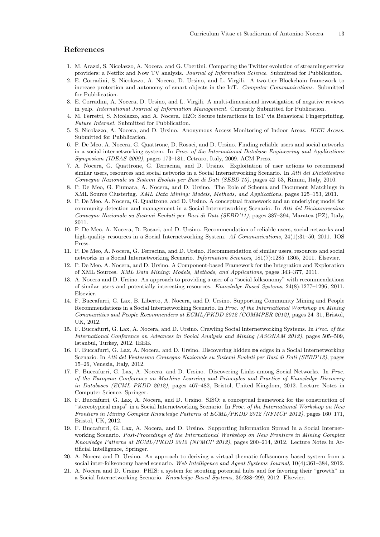### References

- 1. M. Arazzi, S. Nicolazzo, A. Nocera, and G. Ubertini. Comparing the Twitter evolution of streaming service providers: a Netflix and Now TV analysis. *Journal of Information Science*. Submitted for Pubblication.
- 2. E. Corradini, S. Nicolazzo, A. Nocera, D. Ursino, and L. Virgili. A two-tier Blockchain framework to increase protection and autonomy of smart objects in the IoT. *Computer Communications*. Submitted for Pubblication.
- 3. E. Corradini, A. Nocera, D. Ursino, and L. Virgili. A multi-dimensional investigation of negative reviews in yelp. *International Journal of Information Management*. Currently Submitted for Publication.
- 4. M. Ferretti, S. Nicolazzo, and A. Nocera. H2O: Secure interactions in IoT via Behavioral Fingerprinting. *Future Internet*. Submitted for Pubblication.
- 5. S. Nicolazzo, A. Nocera, and D. Ursino. Anonymous Access Monitoring of Indoor Areas. *IEEE Access*. Submitted for Pubblication.
- 6. P. De Meo, A. Nocera, G. Quattrone, D. Rosaci, and D. Ursino. Finding reliable users and social networks in a social internetworking system. In *Proc. of the International Database Engineering and Applications Symposium (IDEAS 2009)*, pages 173–181, Cetraro, Italy, 2009. ACM Press.
- 7. A. Nocera, G. Quattrone, G. Terracina, and D. Ursino. Exploitation of user actions to recommend similar users, resources and social networks in a Social Internetworking Scenario. In *Atti del Diciottesimo Convegno Nazionale su Sistemi Evoluti per Basi di Dati (SEBD'10)*, pages 42–53, Rimini, Italy, 2010.
- 8. P. De Meo, G. Fiumara, A. Nocera, and D. Ursino. The Role of Schema and Document Matchings in XML Source Clustering. *XML Data Mining: Models, Methods, and Applications*, pages 125–153, 2011.
- 9. P. De Meo, A. Nocera, G. Quattrone, and D. Ursino. A conceptual framework and an underlying model for community detection and management in a Social Internetworking Scenario. In *Atti del Diciannovesimo Convegno Nazionale su Sistemi Evoluti per Basi di Dati (SEBD'11)*, pages 387–394, Maratea (PZ), Italy, 2011.
- 10. P. De Meo, A. Nocera, D. Rosaci, and D. Ursino. Recommendation of reliable users, social networks and high-quality resources in a Social Internetworking System. *AI Communications*, 24(1):31–50, 2011. IOS Press.
- 11. P. De Meo, A. Nocera, G. Terracina, and D. Ursino. Recommendation of similar users, resources and social networks in a Social Internetworking Scenario. *Information Sciences*, 181(7):1285–1305, 2011. Elsevier.
- 12. P. De Meo, A. Nocera, and D. Ursino. A Component-based Framework for the Integration and Exploration of XML Sources. *XML Data Mining: Models, Methods, and Applications*, pages 343–377, 2011.
- 13. A. Nocera and D. Ursino. An approach to providing a user of a "social folksonomy" with recommendations of similar users and potentially interesting resources. *Knowledge-Based Systems*, 24(8):1277–1296, 2011. Elsevier.
- 14. F. Buccafurri, G. Lax, B. Liberto, A. Nocera, and D. Ursino. Supporting Community Mining and People Recommendations in a Social Internetworking Scenario. In *Proc. of the International Workshop on Mining Communities and People Recommenders at ECML/PKDD 2012 (COMMPER 2012)*, pages 24–31, Bristol, UK, 2012.
- 15. F. Buccafurri, G. Lax, A. Nocera, and D. Ursino. Crawling Social Internetworking Systems. In *Proc. of the International Conference on Advances in Social Analysis and Mining (ASONAM 2012)*, pages 505–509, Istanbul, Turkey, 2012. IEEE.
- 16. F. Buccafurri, G. Lax, A. Nocera, and D. Ursino. Discovering hidden me edges in a Social Internetworking Scenario. In *Atti del Ventesimo Convegno Nazionale su Sistemi Evoluti per Basi di Dati (SEBD'12)*, pages 15–26, Venezia, Italy, 2012.
- 17. F. Buccafurri, G. Lax, A. Nocera, and D. Ursino. Discovering Links among Social Networks. In *Proc. of the European Conference on Machine Learning and Principles and Practice of Knowledge Discovery in Databases (ECML PKDD 2012)*, pages 467–482, Bristol, United Kingdom, 2012. Lecture Notes in Computer Science. Springer.
- 18. F. Buccafurri, G. Lax, A. Nocera, and D. Ursino. SISO: a conceptual framework for the construction of "stereotypical maps" in a Social Internetworking Scenario. In *Proc. of the International Workshop on New Frontiers in Mining Complex Knowledge Patterns at ECML/PKDD 2012 (NFMCP 2012)*, pages 160–171, Bristol, UK, 2012.
- 19. F. Buccafurri, G. Lax, A. Nocera, and D. Ursino. Supporting Information Spread in a Social Internetworking Scenario. *Post-Proceedings of the International Workshop on New Frontiers in Mining Complex Knowledge Patterns at ECML/PKDD 2012 (NFMCP 2012)*, pages 200–214, 2012. Lecture Notes in Artificial Intelligence, Springer.
- 20. A. Nocera and D. Ursino. An approach to deriving a virtual thematic folksonomy based system from a social inter-folksonomy based scenario. *Web Intelligence and Agent Systems Journal*, 10(4):361–384, 2012.
- 21. A. Nocera and D. Ursino. PHIS: a system for scouting potential hubs and for favoring their "growth" in a Social Internetworking Scenario. *Knowledge-Based Systems*, 36:288–299, 2012. Elsevier.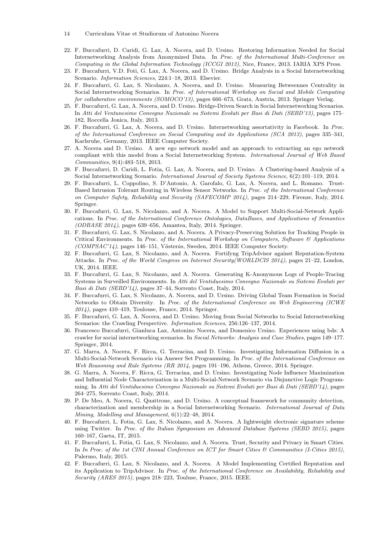14 Curriculum Vitae et Studiorum of Antonino Nocera

- 22. F. Buccafurri, D. Caridi, G. Lax, A. Nocera, and D. Ursino. Restoring Information Needed for Social Internetworking Analysis from Anonymized Data. In *Proc. of the International Multi-Conference on Computing in the Global Information Technology (ICCGI 2013)*, Nice, France, 2013. IARIA XPS Press.
- 23. F. Buccafurri, V.D. Foti, G. Lax, A. Nocera, and D. Ursino. Bridge Analysis in a Social Internetworking Scenario. *Information Sciences*, 224:1–18, 2013. Elsevier.
- 24. F. Buccafurri, G. Lax, S. Nicolazzo, A. Nocera, and D. Ursino. Measuring Betweennes Centrality in Social Internetworking Scenarios. In *Proc. of International Workshop on Social and Mobile Computing for collaborative environments (SOMOCO'13)*, pages 666–673, Gratz, Austria, 2013. Springer Verlag.
- 25. F. Buccafurri, G. Lax, A. Nocera, and D. Ursino. Bridge-Driven Search in Social Internetworking Scenarios. In *Atti del Ventunesimo Convegno Nazionale su Sistemi Evoluti per Basi di Dati (SEBD'13)*, pages 175– 182, Roccella Jonica, Italy, 2013.
- 26. F. Buccafurri, G. Lax, A. Nocera, and D. Ursino. Internetworking assortativity in Facebook. In *Proc. of the International Conference on Social Computing and its Applications (SCA 2013)*, pages 335–341, Karlsruhe, Germany, 2013. IEEE Computer Society.
- 27. A. Nocera and D. Ursino. A new ego network model and an approach to extracting an ego network compliant with this model from a Social Internetworking System. *International Journal of Web Based Communities*, 9(4):483–518, 2013.
- 28. F. Buccafurri, D. Caridi, L. Fotia, G. Lax, A. Nocera, and D. Ursino. A Clustering-based Analysis of a Social Internetworking Scenario. *International Journal of Society Systems Science*, 6(2):101–119, 2014.
- 29. F. Buccafurri, L. Coppolino, S. D'Antonio, A. Garofalo, G. Lax, A. Nocera, and L. Romano. Trust-Based Intrusion Tolerant Routing in Wireless Sensor Networks. In *Proc. of the International Conference on Computer Safety, Reliability and Security (SAFECOMP 2014)*, pages 214–229, Firenze, Italy, 2014. Springer.
- 30. F. Buccafurri, G. Lax, S. Nicolazzo, and A. Nocera. A Model to Support Multi-Social-Network Applications. In *Proc. of the International Conference Ontologies, DataBases, and Applications of Semantics (ODBASE 2014)*, pages 639–656, Amantea, Italy, 2014. Springer.
- 31. F. Buccafurri, G. Lax, S. Nicolazzo, and A. Nocera. A Privacy-Preserving Solution for Tracking People in Critical Environments. In *Proc. of the International Workshop on Computers, Software & Applications (COMPSAC'14)*, pages 146–151, V¨*a*ster˙*a*s, Sweden, 2014. IEEE Computer Society.
- 32. F. Buccafurri, G. Lax, S. Nicolazzo, and A. Nocera. Fortifyng TripAdvisor against Reputation-System Attacks. In *Proc. of the World Congress on Internet Security(WORLDCIS 2014)*, pages 21–22, London, UK, 2014. IEEE.
- 33. F. Buccafurri, G. Lax, S. Nicolazzo, and A. Nocera. Generating K-Anonymous Logs of People-Tracing Systems in Surveilled Environments. In *Atti del Ventiduesimo Convegno Nazionale su Sistemi Evoluti per Basi di Dati (SEBD'14)*, pages 37–44, Sorrento Coast, Italy, 2014.
- 34. F. Buccafurri, G. Lax, S. Nicolazzo, A. Nocera, and D. Ursino. Driving Global Team Formation in Social Networks to Obtain Diversity. In *Proc. of the International Conference on Web Engineering (ICWE 2014)*, pages 410–419, Toulouse, France, 2014. Springer.
- 35. F. Buccafurri, G. Lax, A. Nocera, and D. Ursino. Moving from Social Networks to Social Internetworking Scenarios: the Crawling Perspective. *Information Sciences*, 256:126–137, 2014.
- 36. Francesco Buccafurri, Gianluca Lax, Antonino Nocera, and Domenico Ursino. Experiences using bds: A crawler for social internetworking scenarios. In *Social Networks: Analysis and Case Studies*, pages 149–177. Springer, 2014.
- 37. G. Marra, A. Nocera, F. Ricca, G. Terracina, and D. Ursino. Investigating Information Diffusion in a Multi-Social-Network Scenario via Answer Set Programming. In *Proc. of the International Conference on Web Reasoning and Rule Systems (RR 2014*, pages 191–196, Athens, Greece, 2014. Springer.
- 38. G. Marra, A. Nocera, F. Ricca, G. Terracina, and D. Ursino. Investigating Node Influence Maximization and Influential Node Characterization in a Multi-Social-Network Scenario via Disjunctive Logic Programming. In *Atti del Ventiduesimo Convegno Nazionale su Sistemi Evoluti per Basi di Dati (SEBD'14)*, pages 264–275, Sorrento Coast, Italy, 2014.
- 39. P. De Meo, A. Nocera, G. Quattrone, and D. Ursino. A conceptual framework for community detection, characterization and membership in a Social Internetworking Scenario. *International Journal of Data Mining, Modelling and Management*, 6(1):22–48, 2014.
- 40. F. Buccafurri, L. Fotia, G. Lax, S. Nicolazzo, and A. Nocera. A lightweight electronic signature scheme using Twitter. In *Proc. of the Italian Symposium on Advanced Database Systems (SEBD 2015)*, pages 160–167, Gaeta, IT, 2015.
- 41. F. Buccafurri, L. Fotia, G. Lax, S. Nicolazzo, and A. Nocera. Trust, Security and Privacy in Smart Cities. In *In Proc. of the 1st CINI Annual Conference on ICT for Smart Cities & Communities (I-Cities 2015)*, Palermo, Italy, 2015.
- 42. F. Buccafurri, G. Lax, S. Nicolazzo, and A. Nocera. A Model Implementing Certified Reputation and its Application to TripAdvisor. In *Proc. of the International Conference on Availability, Reliability and Security (ARES 2015)*, pages 218–223, Touluse, France, 2015. IEEE.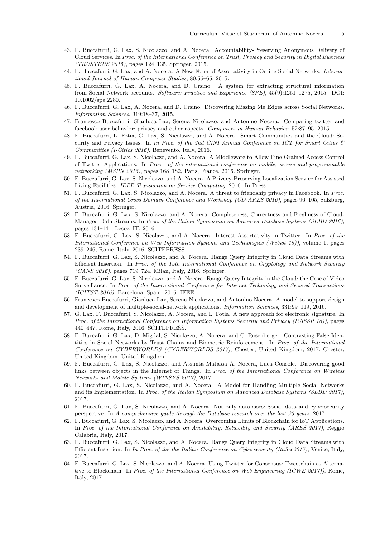- 43. F. Buccafurri, G. Lax, S. Nicolazzo, and A. Nocera. Accountability-Preserving Anonymous Delivery of Cloud Services. In *Proc. of the International Conference on Trust, Privacy and Security in Digital Business (TRUSTBUS 2015)*, pages 124–135. Springer, 2015.
- 44. F. Buccafurri, G. Lax, and A. Nocera. A New Form of Assortativity in Online Social Networks. *International Journal of Human-Computer Studies*, 80:56–65, 2015.
- 45. F. Buccafurri, G. Lax, A. Nocera, and D. Ursino. A system for extracting structural information from Social Network accounts. *Software: Practice and Experience (SPE)*, 45(9):1251–1275, 2015. DOI: 10.1002/spe.2280.
- 46. F. Buccafurri, G. Lax, A. Nocera, and D. Ursino. Discovering Missing Me Edges across Social Networks. *Information Sciences*, 319:18–37, 2015.
- 47. Francesco Buccafurri, Gianluca Lax, Serena Nicolazzo, and Antonino Nocera. Comparing twitter and facebook user behavior: privacy and other aspects. *Computers in Human Behavior*, 52:87–95, 2015.
- 48. F. Buccafurri, L. Fotia, G. Lax, S. Nicolazzo, and A. Nocera. Smart Communities and the Cloud: Security and Privacy Issues. In *In Proc. of the 2nd CINI Annual Conference on ICT for Smart Cities & Communities (I-Cities 2016)*, Benevento, Italy, 2016.
- 49. F. Buccafurri, G. Lax, S. Nicolazzo, and A. Nocera. A Middleware to Allow Fine-Grained Access Control of Twitter Applications. In *Proc. of the international conference on mobile, secure and programmable networking (MSPN 2016)*, pages 168–182, Paris, France, 2016. Springer.
- 50. F. Buccafurri, G. Lax, S. Nicolazzo, and A. Nocera. A Privacy-Preserving Localization Service for Assisted Living Facilities. *IEEE Transaction on Service Computing*, 2016. In Press.
- 51. F. Buccafurri, G. Lax, S. Nicolazzo, and A. Nocera. A threat to friendship privacy in Facebook. In *Proc. of the International Cross Domain Conference and Workshop (CD-ARES 2016)*, pages 96–105, Salzburg, Austria, 2016. Springer.
- 52. F. Buccafurri, G. Lax, S. Nicolazzo, and A. Nocera. Completeness, Correctness and Freshness of Cloud-Managed Data Streams. In *Proc. of the Italian Symposium on Advanced Database Systems (SEBD 2016)*, pages 134–141, Lecce, IT, 2016.
- 53. F. Buccafurri, G. Lax, S. Nicolazzo, and A. Nocera. Interest Assortativity in Twitter. In *Proc. of the International Conference on Web Information Systems and Technologies (Webist 16))*, volume 1, pages 239–246, Rome, Italy, 2016. SCITEPRESS.
- 54. F. Buccafurri, G. Lax, S. Nicolazzo, and A. Nocera. Range Query Integrity in Cloud Data Streams with Ecient Insertion. In *Proc. of the 15th International Conference on Cryptology and Network Security (CANS 2016)*, pages 719–724, Milan, Italy, 2016. Springer.
- 55. F. Buccafurri, G. Lax, S. Nicolazzo, and A. Nocera. Range Query Integrity in the Cloud: the Case of Video Surveillance. In *Proc. of the International Conference for Internet Technology and Secured Transactions (ICITST-2016)*, Barcelona, Spain, 2016. IEEE.
- 56. Francesco Buccafurri, Gianluca Lax, Serena Nicolazzo, and Antonino Nocera. A model to support design and development of multiple-social-network applications. *Information Sciences*, 331:99–119, 2016.
- 57. G. Lax, F. Buccafurri, S. Nicolazzo, A. Nocera, and L. Fotia. A new approach for electronic signature. In *Proc. of the International Conference on Information Systems Security and Privacy (ICISSP 16))*, pages 440–447, Rome, Italy, 2016. SCITEPRESS.
- 58. F. Buccafurri, G. Lax, D. Migdal, S. Nicolazzo, A. Nocera, and C. Rosenberger. Contrasting False Identities in Social Networks by Trust Chains and Biometric Reinforcement. In *Proc. of the International Conference on CYBERWORLDS (CYBERWORLDS 2017)*, Chester, United Kingdom, 2017. Chester, United Kingdom, United Kingdom.
- 59. F. Buccafurri, G. Lax, S. Nicolazzo, and Assunta Matassa A. Nocera, Luca Console. Discovering good links between objects in the Internet of Things. In *Proc. of the International Conference on Wireless Networks and Mobile Systems (WINSYS 2017)*, 2017.
- 60. F. Buccafurri, G. Lax, S. Nicolazzo, and A. Nocera. A Model for Handling Multiple Social Networks and its Implementation. In *Proc. of the Italian Symposium on Advanced Database Systems (SEBD 2017)*, 2017.
- 61. F. Buccafurri, G. Lax, S. Nicolazzo, and A. Nocera. Not only databases: Social data and cybersecurity perspective. In *A comprehensive guide through the Database research over the last 25 years*. 2017.
- 62. F. Buccafurri, G. Lax, S. Nicolazzo, and A. Nocera. Overcoming Limits of Blockchain for IoT Applications. In *Proc. of the International Conference on Availability, Reliability and Security (ARES 2017)*, Reggio Calabria, Italy, 2017.
- 63. F. Buccafurri, G. Lax, S. Nicolazzo, and A. Nocera. Range Query Integrity in Cloud Data Streams with Ecient Insertion. In *In Proc. of the the Italian Conference on Cybersecurity (ItaSec2017)*, Venice, Italy, 2017.
- 64. F. Buccafurri, G. Lax, S. Nicolazzo, and A. Nocera. Using Twitter for Consensus: Tweetchain as Alternative to Blockchain. In *Proc. of the International Conference on Web Engineering (ICWE 2017))*, Rome, Italy, 2017.